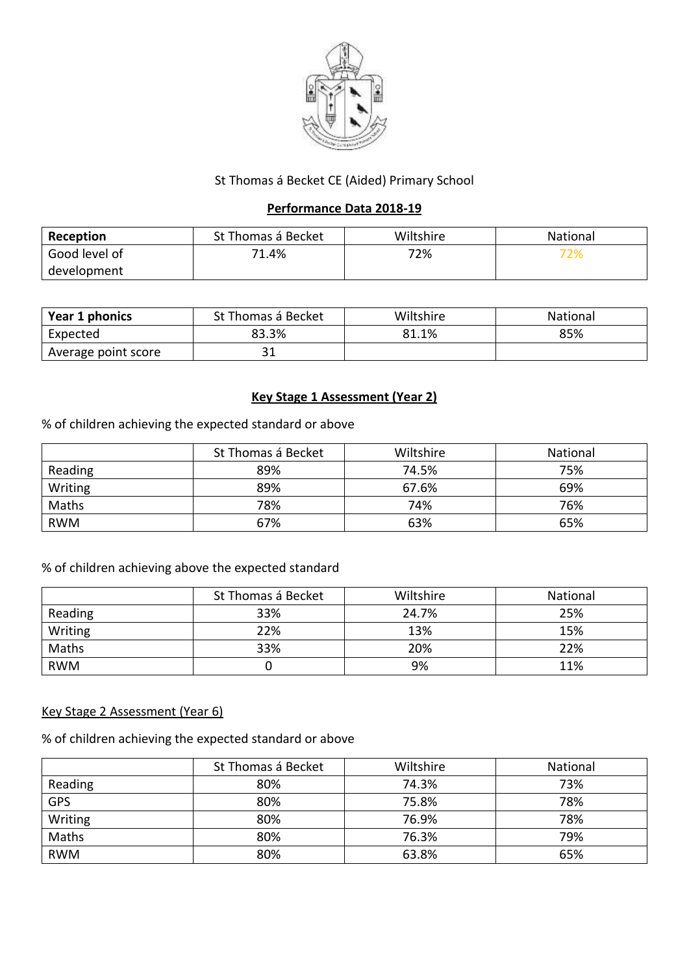

## St Thomas á Becket CE (Aided) Primary School

## **Performance Data 2018-19**

| Reception     | St Thomas á Becket | Wiltshire | National |
|---------------|--------------------|-----------|----------|
| Good level of | 71.4%              | 72%       | 72%      |
| development   |                    |           |          |

| Year 1 phonics      | St Thomas á Becket | Wiltshire | <b>National</b> |
|---------------------|--------------------|-----------|-----------------|
| Expected            | 83.3%              | 81.1%     | 85%             |
| Average point score | JГ                 |           |                 |

## **Key Stage 1 Assessment (Year 2)**

% of children achieving the expected standard or above

|            | St Thomas á Becket | Wiltshire | National |
|------------|--------------------|-----------|----------|
| Reading    | 89%                | 74.5%     | 75%      |
| Writing    | 89%                | 67.6%     | 69%      |
| Maths      | 78%                | 74%       | 76%      |
| <b>RWM</b> | 67%                | 63%       | 65%      |

# % of children achieving above the expected standard

|            | St Thomas á Becket | Wiltshire | National |
|------------|--------------------|-----------|----------|
| Reading    | 33%                | 24.7%     | 25%      |
| Writing    | 22%                | 13%       | 15%      |
| Maths      | 33%                | 20%       | 22%      |
| <b>RWM</b> |                    | 9%        | 11%      |

## Key Stage 2 Assessment (Year 6)

% of children achieving the expected standard or above

|            | St Thomas á Becket | Wiltshire | National |
|------------|--------------------|-----------|----------|
| Reading    | 80%                | 74.3%     | 73%      |
| <b>GPS</b> | 80%                | 75.8%     | 78%      |
| Writing    | 80%                | 76.9%     | 78%      |
| Maths      | 80%                | 76.3%     | 79%      |
| <b>RWM</b> | 80%                | 63.8%     | 65%      |